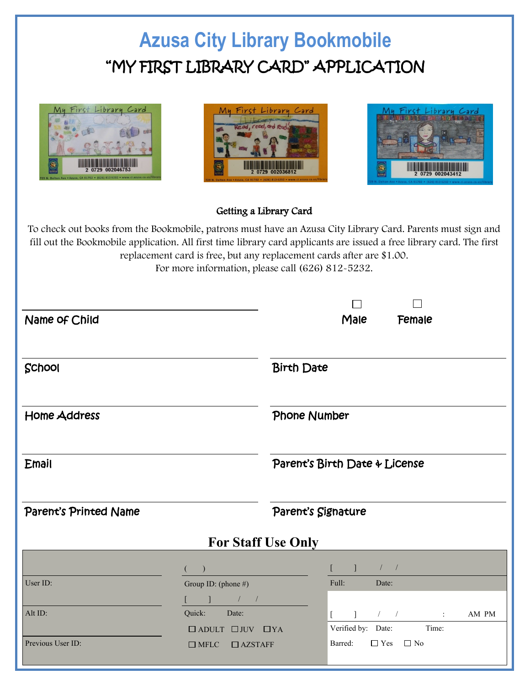## **Azusa City Library Bookmobile** "MY FIRST LIBRARY CARD" APPLICATION







## Getting a Library Card

To check out books from the Bookmobile, patrons must have an Azusa City Library Card. Parents must sign and fill out the Bookmobile application. All first time library card applicants are issued a free library card. The first replacement card is free, but any replacement cards after are \$1.00. For more information, please call (626) 812-5232.

| Name of Child         |                                                                                                                                                                                                                                                                                                                                                                                                                                                                                                                                                                                                                 |                               | Male                                                        | Female                                                                                                                                                                                                                                                                                                                       |       |  |
|-----------------------|-----------------------------------------------------------------------------------------------------------------------------------------------------------------------------------------------------------------------------------------------------------------------------------------------------------------------------------------------------------------------------------------------------------------------------------------------------------------------------------------------------------------------------------------------------------------------------------------------------------------|-------------------------------|-------------------------------------------------------------|------------------------------------------------------------------------------------------------------------------------------------------------------------------------------------------------------------------------------------------------------------------------------------------------------------------------------|-------|--|
| School                |                                                                                                                                                                                                                                                                                                                                                                                                                                                                                                                                                                                                                 | <b>Birth Date</b>             |                                                             |                                                                                                                                                                                                                                                                                                                              |       |  |
| <b>Home Address</b>   |                                                                                                                                                                                                                                                                                                                                                                                                                                                                                                                                                                                                                 | Phone Number                  |                                                             |                                                                                                                                                                                                                                                                                                                              |       |  |
| <b>Email</b>          |                                                                                                                                                                                                                                                                                                                                                                                                                                                                                                                                                                                                                 | Parent's Birth Date & License |                                                             |                                                                                                                                                                                                                                                                                                                              |       |  |
| Parent's Printed Name |                                                                                                                                                                                                                                                                                                                                                                                                                                                                                                                                                                                                                 | Parent's Signature            |                                                             |                                                                                                                                                                                                                                                                                                                              |       |  |
|                       | <b>For Staff Use Only</b>                                                                                                                                                                                                                                                                                                                                                                                                                                                                                                                                                                                       |                               |                                                             |                                                                                                                                                                                                                                                                                                                              |       |  |
| User ID:              | (<br>Group ID: (phone #)<br>$\begin{array}{ccc} \begin{array}{ccc} \end{array} & \begin{array}{ccc} \end{array} & \begin{array}{ccc} \end{array} & \begin{array}{ccc} \end{array} & \begin{array}{ccc} \end{array} & \begin{array}{ccc} \end{array} & \begin{array}{ccc} \end{array} & \begin{array}{ccc} \end{array} & \begin{array}{ccc} \end{array} & \begin{array}{ccc} \end{array} & \begin{array}{ccc} \end{array} & \begin{array}{ccc} \end{array} & \begin{array}{ccc} \end{array} & \begin{array}{ccc} \end{array} & \begin{array}{ccc} \end{array} & \begin{array}{ccc} \end{array} & \begin{array}{$ |                               | $\begin{bmatrix} 1 & 1 & 1 \end{bmatrix}$<br>Full:<br>Date: |                                                                                                                                                                                                                                                                                                                              |       |  |
| Alt ID:               | Quick:<br>Date:<br>$\Box$ ADULT $\Box$ JUV $\Box$ YA                                                                                                                                                                                                                                                                                                                                                                                                                                                                                                                                                            |                               | $\mathbf{1}$<br>$\mathbb{R}$<br>Verified by: Date:          | $\frac{1}{2}$ $\frac{1}{2}$ $\frac{1}{2}$ $\frac{1}{2}$ $\frac{1}{2}$ $\frac{1}{2}$ $\frac{1}{2}$ $\frac{1}{2}$ $\frac{1}{2}$ $\frac{1}{2}$ $\frac{1}{2}$ $\frac{1}{2}$ $\frac{1}{2}$ $\frac{1}{2}$ $\frac{1}{2}$ $\frac{1}{2}$ $\frac{1}{2}$ $\frac{1}{2}$ $\frac{1}{2}$ $\frac{1}{2}$ $\frac{1}{2}$ $\frac{1}{2}$<br>Time: | AM PM |  |
| Previous User ID:     | $\Box$ AZSTAFF<br>$\Box$ MFLC                                                                                                                                                                                                                                                                                                                                                                                                                                                                                                                                                                                   |                               | $\Box$ Yes $\Box$ No<br>Barred:                             |                                                                                                                                                                                                                                                                                                                              |       |  |